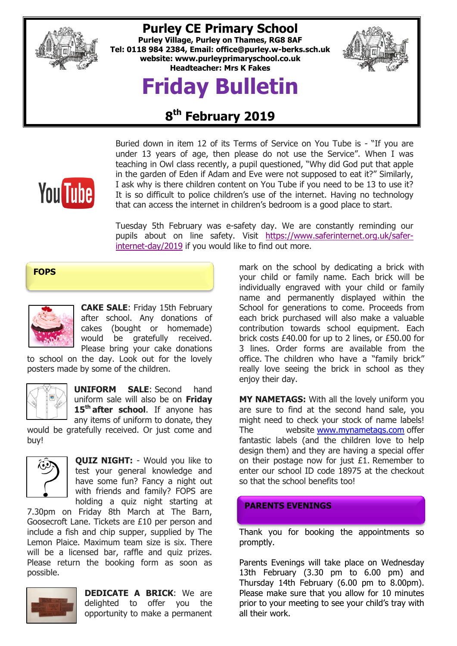

## **Purley CE Primary School**

**Purley Village, Purley on Thames, RG8 8AF Tel: 0118 984 2384, Email: [office@purley.w-berks.sch.uk](mailto:office@purley.w-berks.sch.uk) website: www.purleyprimaryschool.co.uk Headteacher: Mrs K Fakes**

# **Friday Bulletin**



# **8 th February 2019**



Buried down in item 12 of its Terms of Service on You Tube is - "If you are under 13 years of age, then please do not use the Service". When I was teaching in Owl class recently, a pupil questioned, "Why did God put that apple in the garden of Eden if Adam and Eve were not supposed to eat it?" Similarly, I ask why is there children content on You Tube if you need to be 13 to use it? It is so difficult to police children's use of the internet. Having no technology that can access the internet in children's bedroom is a good place to start.

Tuesday 5th February was e-safety day. We are constantly reminding our pupils about on line safety. Visit [https://www.saferinternet.org.uk/safer](https://www.saferinternet.org.uk/safer-internet-day/2019)[internet-day/2019](https://www.saferinternet.org.uk/safer-internet-day/2019) if you would like to find out more.

**FOPS**



**CAKE SALE**: Friday 15th February after school. Any donations of cakes (bought or homemade) would be gratefully received. Please bring your cake donations

to school on the day. Look out for the lovely posters made by some of the children.



**UNIFORM SALE**: Second hand uniform sale will also be on **Friday 15th after school**. If anyone has any items of uniform to donate, they

would be gratefully received. Or just come and buy!



**QUIZ NIGHT:** - Would you like to test your general knowledge and have some fun? Fancy a night out with friends and family? FOPS are holding a quiz night starting at

7.30pm on Friday 8th March at The Barn, Goosecroft Lane. Tickets are £10 per person and include a fish and chip supper, supplied by The Lemon Plaice. Maximum team size is six. There will be a licensed bar, raffle and quiz prizes. Please return the booking form as soon as possible.



**DEDICATE A BRICK**: We are delighted to offer you the opportunity to make a permanent mark on the school by dedicating a brick with your child or family name. Each brick will be individually engraved with your child or family name and permanently displayed within the School for generations to come. Proceeds from each brick purchased will also make a valuable contribution towards school equipment. Each brick costs £40.00 for up to 2 lines, or £50.00 for 3 lines. Order forms are available from the office. The children who have a "family brick" really love seeing the brick in school as they enjoy their day.

**MY NAMETAGS:** With all the lovely uniform you are sure to find at the second hand sale, you might need to check your stock of name labels! The website [www.mynametags.com](http://www.mynametags.com/) offer fantastic labels (and the children love to help design them) and they are having a special offer on their postage now for just £1. Remember to enter our school ID code 18975 at the checkout so that the school benefits too!

#### **PARENTS EVENINGS**

Thank you for booking the appointments so promptly.

Parents Evenings will take place on Wednesday 13th February (3.30 pm to 6.00 pm) and Thursday 14th February (6.00 pm to 8.00pm). Please make sure that you allow for 10 minutes prior to your meeting to see your child's tray with all their work.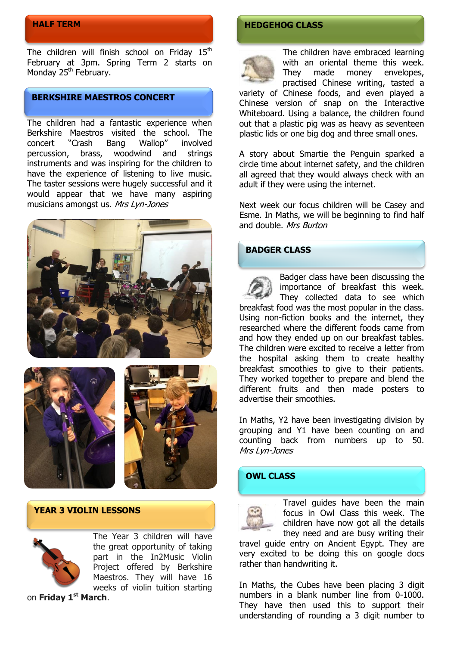### **HALF TERM**

The children will finish school on Friday  $15<sup>th</sup>$ February at 3pm. Spring Term 2 starts on Monday 25<sup>th</sup> February.

### **BERKSHIRE MAESTROS CONCERT**

The children had a fantastic experience when Berkshire Maestros visited the school. The concert "Crash Bang Wallop" involved percussion, brass, woodwind and strings instruments and was inspiring for the children to have the experience of listening to live music. The taster sessions were hugely successful and it would appear that we have many aspiring musicians amongst us. Mrs Lyn-Jones







#### **YEAR 3 VIOLIN LESSONS**



The Year 3 children will have the great opportunity of taking part in the In2Music Violin Project offered by Berkshire Maestros. They will have 16 weeks of violin tuition starting

on **Friday 1st March**.

## **HEDGEHOG CLASS**



The children have embraced learning with an oriental theme this week. They made money envelopes, practised Chinese writing, tasted a

variety of Chinese foods, and even played a Chinese version of snap on the Interactive Whiteboard. Using a balance, the children found out that a plastic pig was as heavy as seventeen plastic lids or one big dog and three small ones.

A story about Smartie the Penguin sparked a circle time about internet safety, and the children all agreed that they would always check with an adult if they were using the internet.

Next week our focus children will be Casey and Esme. In Maths, we will be beginning to find half and double. Mrs Burton

#### **BADGER CLASS**



Badger class have been discussing the importance of breakfast this week. They collected data to see which breakfast food was the most popular in the class. Using non-fiction books and the internet, they researched where the different foods came from and how they ended up on our breakfast tables. The children were excited to receive a letter from the hospital asking them to create healthy breakfast smoothies to give to their patients. They worked together to prepare and blend the different fruits and then made posters to advertise their smoothies.

In Maths, Y2 have been investigating division by grouping and Y1 have been counting on and counting back from numbers up to 50. Mrs Lyn-Jones

#### **OWL CLASS**



Travel guides have been the main focus in Owl Class this week. The children have now got all the details they need and are busy writing their

travel guide entry on Ancient Egypt. They are very excited to be doing this on google docs rather than handwriting it.

In Maths, the Cubes have been placing 3 digit numbers in a blank number line from 0-1000. They have then used this to support their understanding of rounding a 3 digit number to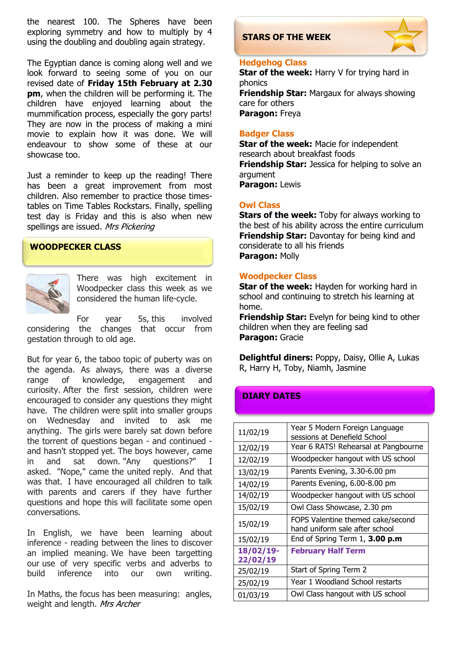the nearest 100. The Spheres have been exploring symmetry and how to multiply by 4 using the doubling and doubling again strategy.

The Egyptian dance is coming along well and we look forward to seeing some of you on our revised date of **Friday 15th February at 2.30 pm**, when the children will be performing it. The children have enjoyed learning about the mummification process, especially the gory parts! They are now in the process of making a mini movie to explain how it was done. We will endeavour to show some of these at our showcase too.

Just a reminder to keep up the reading! There has been a great improvement from most children. Also remember to practice those timestables on Time Tables Rockstars. Finally, spelling test day is Friday and this is also when new spellings are issued. Mrs Pickering

#### **WOODPECKER CLASS**



There was high excitement in Woodpecker class this week as we considered the human life-cycle.

For year 5s, this involved considering the changes that occur from gestation through to old age.

But for year 6, the taboo topic of puberty was on the agenda. As always, there was a diverse range of knowledge, engagement and curiosity. After the first session, children were encouraged to consider any questions they might have. The children were split into smaller groups on Wednesday and invited to ask me anything. The girls were barely sat down before the torrent of questions began - and continued and hasn't stopped yet. The boys however, came in and sat down. "Any questions?" I asked. "Nope," came the united reply. And that was that. I have encouraged all children to talk with parents and carers if they have further questions and hope this will facilitate some open conversations.

In English, we have been learning about inference - reading between the lines to discover an implied meaning. We have been targetting our use of very specific verbs and adverbs to build inference into our own writing.

In Maths, the focus has been measuring: angles, weight and length. Mrs Archer

#### **STARS OF THE WEEK**



#### **Hedgehog Class**

**Star of the week:** Harry V for trying hard in phonics **Friendship Star:** Margaux for always showing care for others **Paragon:** Freya

#### **Badger Class**

**Star of the week: Macie for independent** research about breakfast foods **Friendship Star:** Jessica for helping to solve an argument **Paragon:** Lewis

#### **Owl Class**

**Stars of the week:** Toby for always working to the best of his ability across the entire curriculum **Friendship Star:** Davontay for being kind and considerate to all his friends **Paragon:** Molly

#### **Woodpecker Class**

**Star of the week:** Hayden for working hard in school and continuing to stretch his learning at home.

**Friendship Star:** Evelyn for being kind to other children when they are feeling sad **Paragon:** Gracie

**Delightful diners:** Poppy, Daisy, Ollie A, Lukas R, Harry H, Toby, Niamh, Jasmine

#### **DIARY DATES**

| 11/02/19              | Year 5 Modern Foreign Language<br>sessions at Denefield School      |
|-----------------------|---------------------------------------------------------------------|
| 12/02/19              | Year 6 RATS! Rehearsal at Pangbourne                                |
| 12/02/19              | Woodpecker hangout with US school                                   |
| 13/02/19              | Parents Evening, 3.30-6.00 pm                                       |
| 14/02/19              | Parents Evening, 6.00-8.00 pm                                       |
| 14/02/19              | Woodpecker hangout with US school                                   |
| 15/02/19              | Owl Class Showcase, 2.30 pm                                         |
| 15/02/19              | FOPS Valentine themed cake/second<br>hand uniform sale after school |
| 15/02/19              | End of Spring Term $1, 3.00$ p.m                                    |
| 18/02/19-<br>22/02/19 | <b>February Half Term</b>                                           |
| 25/02/19              | Start of Spring Term 2                                              |
| 25/02/19              | Year 1 Woodland School restarts                                     |
| 01/03/19              | Owl Class hangout with US school                                    |
|                       |                                                                     |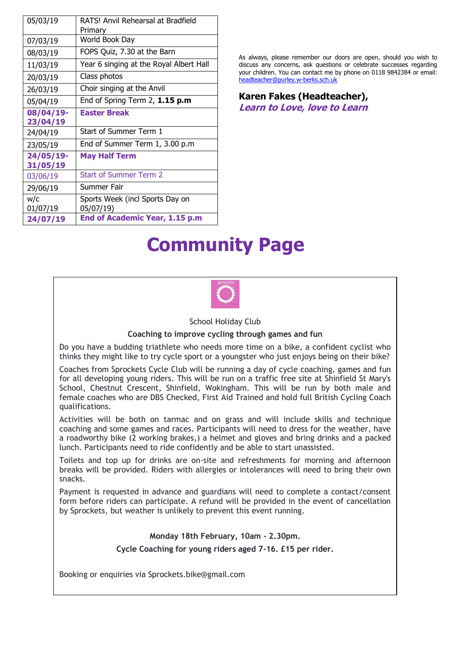| 05/03/19              | RATS! Anvil Rehearsal at Bradfield<br>Primary |
|-----------------------|-----------------------------------------------|
| 07/03/19              | World Book Day                                |
| 08/03/19              | FOPS Quiz, 7.30 at the Barn                   |
| 11/03/19              | Year 6 singing at the Royal Albert Hall       |
| 20/03/19              | Class photos                                  |
| 26/03/19              | Choir singing at the Anvil                    |
| 05/04/19              | End of Spring Term $2$ , $1.15$ p.m           |
| 08/04/19-             | <b>Easter Break</b>                           |
| 23/04/19              |                                               |
| 24/04/19              | Start of Summer Term 1                        |
| 23/05/19              | End of Summer Term 1, 3.00 p.m                |
| 24/05/19-<br>31/05/19 | <b>May Half Term</b>                          |
| 03/06/19              | <b>Start of Summer Term 2</b>                 |
| 29/06/19              | Summer Fair                                   |
| w/c<br>01/07/19       | Sports Week (incl Sports Day on<br>05/07/19)  |
| 24/07/19              | End of Academic Year, 1.15 p.m                |

As always, please remember our doors are open, should you wish to discuss any concerns, ask questions or celebrate successes regarding your children. You can contact me by phone on 0118 9842384 or email: [headteacher@purley.w-berks.sch.uk](mailto:headteacher@purley.w-berks.sch.uk)

#### **Karen Fakes (Headteacher), Learn to Love, love to Learn**

# **Community Page**



School Holiday Club

#### **Coaching to improve cycling through games and fun**

Do you have a budding triathlete who needs more time on a bike, a confident cyclist who thinks they might like to try cycle sport or a youngster who just enjoys being on their bike?

Coaches from Sprockets Cycle Club will be running a day of cycle coaching, games and fun for all developing young riders. This will be run on a traffic free site at Shinfield St Mary's School, Chestnut Crescent, Shinfield, Wokingham. This will be run by both male and female coaches who are DBS Checked, First Aid Trained and hold full British Cycling Coach qualifications.

Activities will be both on tarmac and on grass and will include skills and technique coaching and some games and races. Participants will need to dress for the weather, have a roadworthy bike (2 working brakes,) a helmet and gloves and bring drinks and a packed lunch. Participants need to ride confidently and be able to start unassisted.

Toilets and top up for drinks are on-site and refreshments for morning and afternoon breaks will be provided. Riders with allergies or intolerances will need to bring their own snacks.

Payment is requested in advance and guardians will need to complete a contact/consent form before riders can participate. A refund will be provided in the event of cancellation by Sprockets, but weather is unlikely to prevent this event running.

#### **Monday 18th February, 10am - 2.30pm.**

**Cycle Coaching for young riders aged 7-16. £15 per rider.**

Booking or enquiries via Sprockets.bike@gmail.com